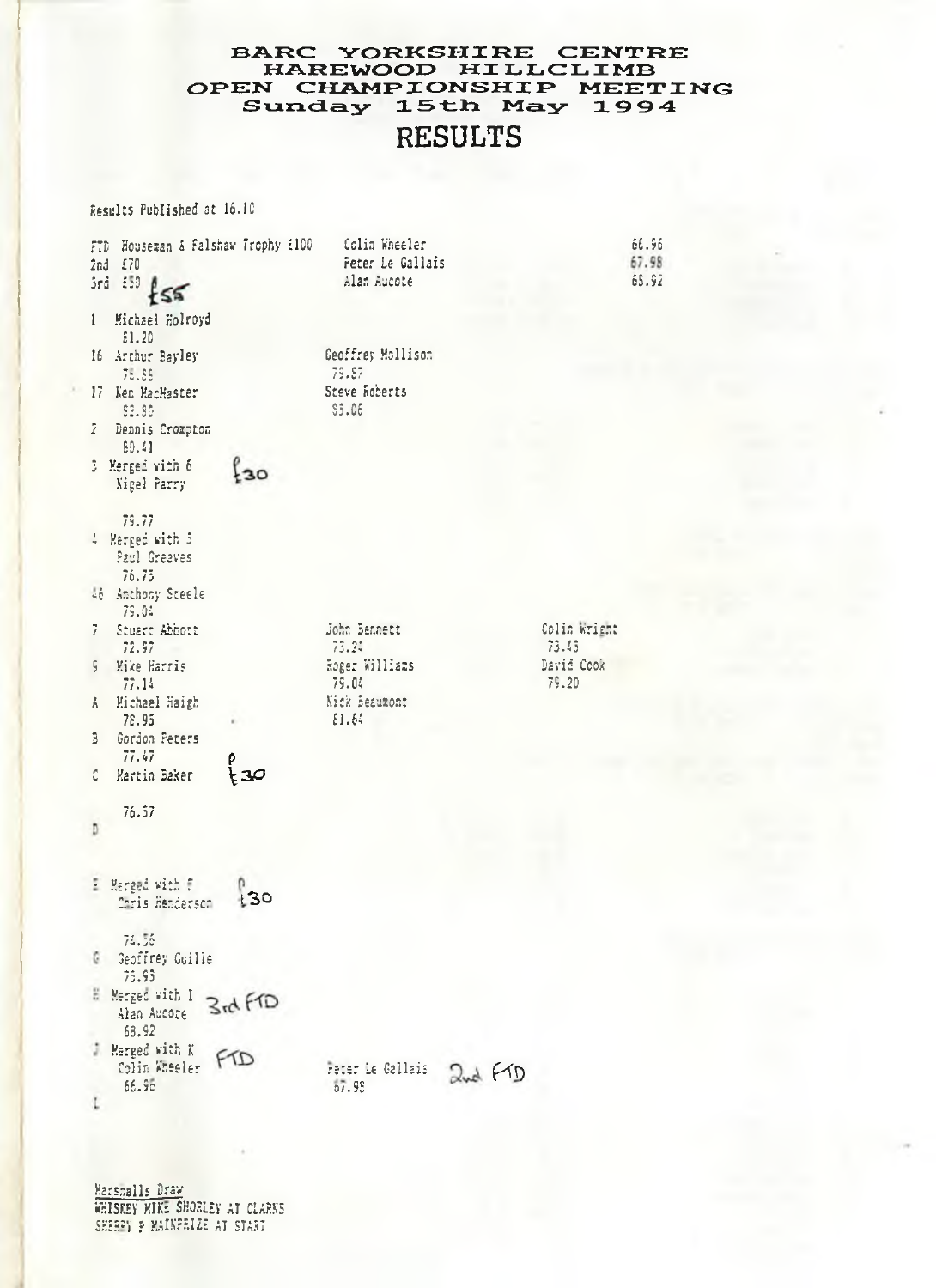### BARC YORKSHIRE CENTRE<br>HAREWOOD HILLCLIMB OPEN CHAMPIONSHIP MEETING Sunday 15th May 1994 **RESULTS**

Results Published at 16.10

| FID Houseman & Falshaw Trophy £100<br>$2nd = £70$<br>3rd 550<br>ł≲ฐ | Colin Wheeler<br>Peter Le Gallais<br>Alan Aucote | 66.96<br>67.98<br>65.92 |
|---------------------------------------------------------------------|--------------------------------------------------|-------------------------|
| Michael Holroyd<br>1                                                |                                                  |                         |
| \$1.20<br>16 Archur Bayley<br>75.85                                 | Geoffrey Mollison<br>79.87                       |                         |
| 17 Ken MacMaster<br>92.85                                           | Steve Roberts<br>\$3.06                          |                         |
| Ž.<br>Dennis Crompton<br>80.41                                      |                                                  |                         |
| 3 Merged with 6<br>$_{30}$<br>Nigel Parry                           |                                                  |                         |
| 79.77                                                               |                                                  |                         |
| 4 Marged with 5<br>Paul Greaves<br>76.75                            |                                                  |                         |
| 46 Anthony Steele<br>79.04                                          |                                                  |                         |
| 7<br>Stuart Abbott<br>72.97                                         | John Bennett<br>73.24                            | Colin Wright<br>73.45   |
| Mike Harris<br>ç<br>77.14                                           | Roger Williams<br>79.04                          | David Cook<br>79.20     |
| Michael Haigh<br>Ă.<br>78.95                                        | Nick Beaumont<br>61.64                           |                         |
| Gordon Peters<br>3                                                  |                                                  |                         |
| 77.47<br>p<br>جد:<br>Ĉ<br>Martin Baker                              |                                                  |                         |
| 76.57                                                               |                                                  |                         |
| Ð                                                                   |                                                  |                         |
| El Marged with F<br>130<br>Chris Henderson                          |                                                  |                         |
| 74.56<br><b>C</b> Geoffrey Guille<br>75.93                          |                                                  |                         |
| E Merged with I<br>3rd FTD<br>Alan Aucore<br>63.92                  |                                                  |                         |
| <b>E</b> Merged with K<br>Colin Wheeler FID                         | Peter Le Gallais<br>2nd Fro                      |                         |
| 65.95<br>L                                                          | 57.95                                            |                         |

Marshalls Draw<br>WHISKEY MIKE SHORLEY AT CLARKS SHERFY P MAINFRIZE AT START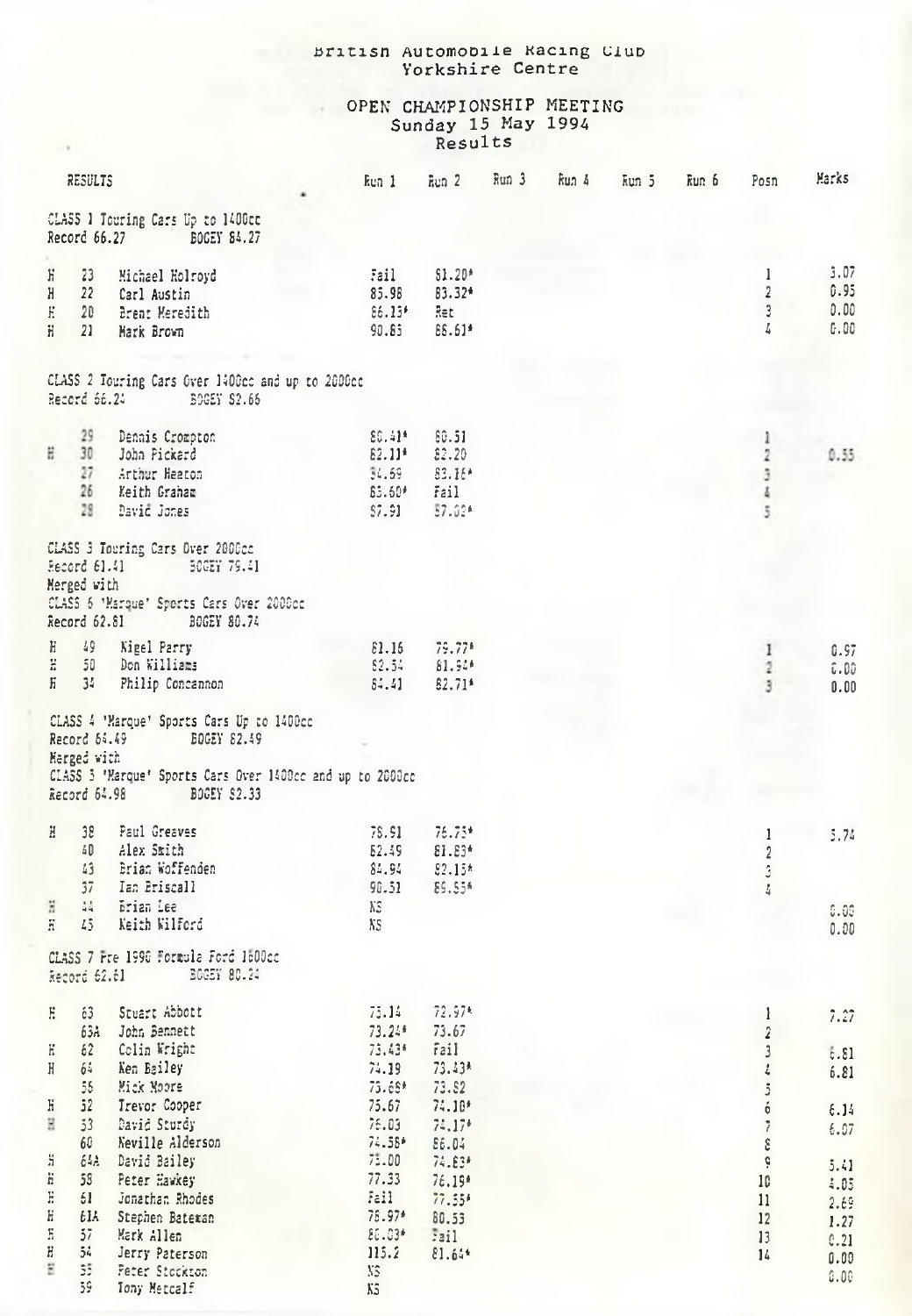## British Automobile Racing Club<br>Yorkshire Centre

# OPEN CHAMPIONSHIP MEETING<br>Sunday 15 May 1994<br>Results

| RESULTS                                             |                                                                                                                                                   |                                                                  | ken 1 Ren 2                                  | Run 3 Run 4 | หินกวั | kun 6 | Posn                                   | Marks                        |
|-----------------------------------------------------|---------------------------------------------------------------------------------------------------------------------------------------------------|------------------------------------------------------------------|----------------------------------------------|-------------|--------|-------|----------------------------------------|------------------------------|
|                                                     | CLASS 1 Touring Cars Up to 1400cc<br>Record 66.27 BOGEY 84.27                                                                                     |                                                                  |                                              |             |        |       |                                        |                              |
| 23<br>К<br>Н<br>22<br>E<br>20<br>H.<br>21           | Michael Holroyd<br>Carl Austin<br>Brent Meredith<br>Mark Brown                                                                                    | Fail<br>85.98<br>$86.13^*$<br>90.85                              | $$1.20*$<br>83.32*<br>Ret<br>EE.61*          |             |        |       | 1<br>$\overline{2}$<br>3<br>4          | 3.07<br>0.95<br>0.00<br>0.00 |
|                                                     | CLASS 2 Touring Cars Over 1400cc and up to 2000cc<br>Record 66.24 BOGEY S2.66                                                                     |                                                                  |                                              |             |        |       |                                        |                              |
| 29<br>H<br>30<br>27<br>26                           | Dennis Crompton<br>John Pickard<br>Arthur Heaton<br>Keith Graham<br>28 David Jones                                                                | 80.41*<br>$82.11*$<br>54.59<br>\$5.60*<br>57.91                  | \$0.51<br>\$2.20<br>83.16*<br>Fail<br>57.02* |             |        |       | 1<br>$\overline{2}$<br>3<br>Ā.<br>5    | 0.55                         |
| Record 61.41<br>Merged with                         | CLASS 3 Touring Cars Over 2000cc<br>50GEY 79.41<br>CLASS 6 'Marque' Sports Cars Over 2000cc<br>Record 62.81 BOGEY 80.74                           |                                                                  |                                              |             |        |       |                                        |                              |
| H<br>$\ddot{z}$                                     | 49 Nigel Parry<br>50 Don Williams<br>H 34 Philip Concannon                                                                                        | E1.15<br>82.54<br>84.41                                          | 79.77*<br>81.94*<br>82.71*                   |             |        |       | 1<br>2<br>3                            | 0.97<br>0.00<br>0.00         |
| Record 64.49<br>Herged with                         | CLASS 4 'Marque' Sports Cars Up to 1400cc<br>BOGEY 82.49<br>CLASS 5 'Marque' Sports Cars Over 1400cc and up to 2000cc<br>Record 64.98 BOGEY 82.33 |                                                                  |                                              |             |        |       |                                        |                              |
| H.<br>$43 -$<br>37<br>$\frac{1}{4}$<br>ä<br>ã<br>45 | 38 Paul Greaves<br>40 Alex Smith<br>Brian Woffenden<br>Ian Briscall<br><b>Brian</b> Lee<br>Keith Wilford                                          | 78.91<br>52.49<br>84.94<br>98.51<br>ΧS<br>$\lambda$ <sub>5</sub> | 76.75*<br>81.83*<br>$82.15*$<br>89.55*       |             |        |       | 1<br>$\sqrt{2}$<br>$\ddot{\cdot}$<br>4 | 5.74<br>0.00<br>0.00         |
|                                                     | CLASS 7 Pre 1990 Formula Ford 1600cc<br>Record 62.61 BOGEY 80.24                                                                                  |                                                                  |                                              |             |        |       |                                        |                              |
| E<br>63                                             | Stuart Abbott<br>63A John Bennett                                                                                                                 | 75.14<br>73.24*                                                  | 72.97*<br>73.67                              |             |        |       | $\mathbf{1}$<br>$\hat{\textbf{z}}$     | 7.27                         |
| Ε<br>62<br>H                                        | Colin Wright<br>64 Ken Bailey<br>55 Mick Moore                                                                                                    | 73.43*<br>74.19<br>$75.68*$                                      | fail<br>73.43*<br>73.52                      |             |        |       | 3<br>ł,<br>$\mathfrak z$               | t.81<br>6.81                 |
| Н<br>Η                                              | 52 Trevor Cooper<br>53 David Sturdy<br>60 Neville Alderson                                                                                        | 75.67<br>75.03<br>74.58*                                         | $74.10*$<br>$74.17*$<br>£6.04                |             |        |       | ó<br>$\overline{\imath}$<br>ε          | 6.14<br>6.07                 |
| ä<br>$\ddot{\mathrm{n}}$<br>E<br>61<br>Η            | 64A David Bailey<br>58 Peter Hawkey<br>Jonathan Rhodes<br>61A Stephen Bateman                                                                     | 75.00<br>77.33<br>Fail<br>78.97*                                 | 74.83*<br>76.19*<br>$77.55*$<br>80.53        |             |        |       | ô.<br>10<br>11<br>12                   | 5.41<br>1.05<br>2.69<br>1.27 |
| $\rm{f}$<br>- 57<br>H<br>54<br>g<br>35<br>59        | Mark Allen<br>Jerry Paterson<br>Peter Stockton                                                                                                    | $20.03*$<br>115.2<br>XS.                                         | 5211<br>$81.64*$                             |             |        |       | 13<br>14                               | 0.21<br>0.00<br>0.00         |
|                                                     | Tony Metcalf                                                                                                                                      | K5                                                               |                                              |             |        |       |                                        |                              |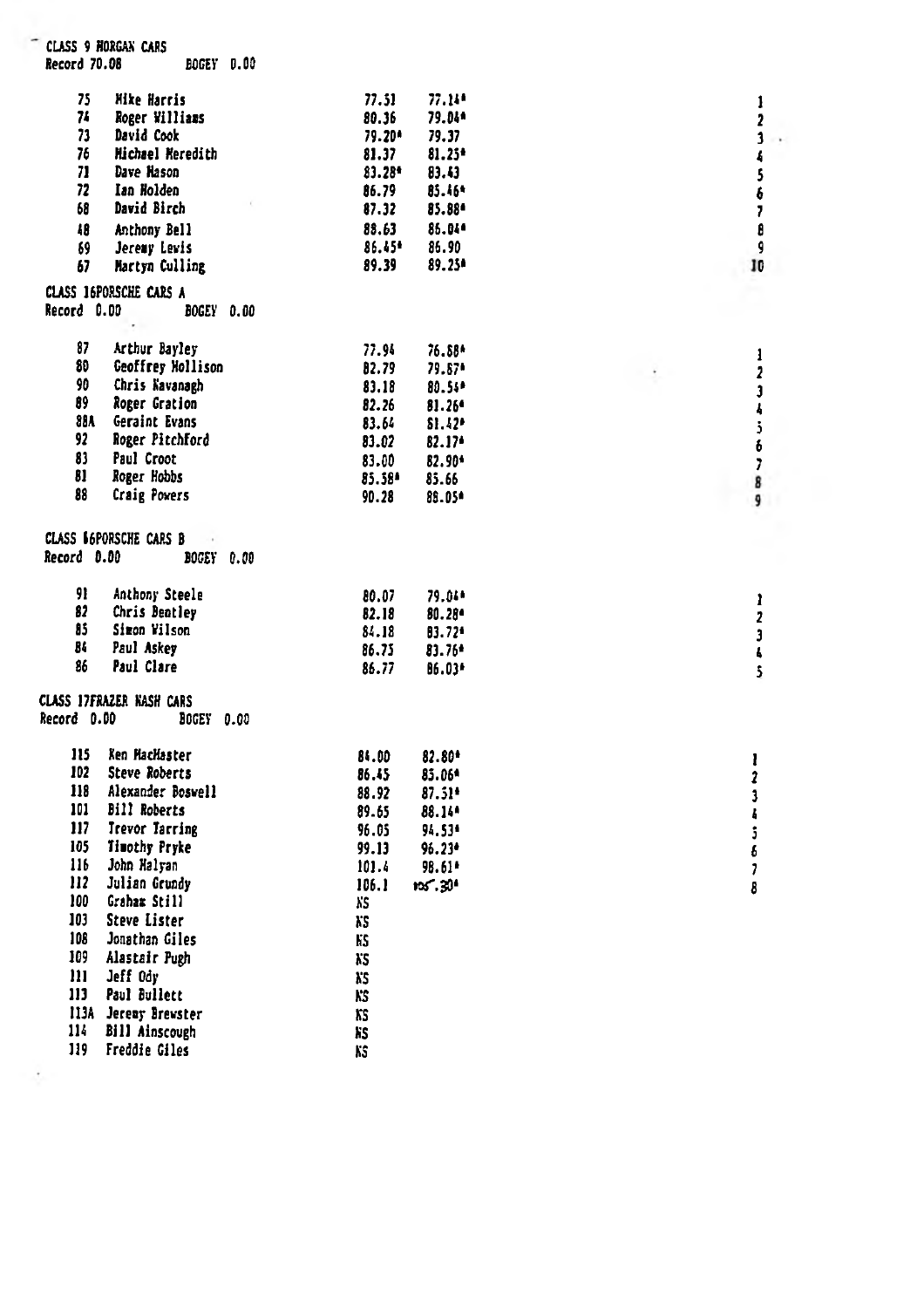|             | Record 70.08<br>BOGEY 0.00                     |           |                      |                          |
|-------------|------------------------------------------------|-----------|----------------------|--------------------------|
| 75          | <b>Mike Harris</b>                             | 77.51     | 77.14*               | 1                        |
| 74          | Roger Williams                                 | 80.36     | 79.04*               | 2                        |
| 73          | David Cook                                     | 79.20*    | 79.37                | 3                        |
| 76          | Michael Meredith                               | 81.37     | $81.25*$             | $\sqrt{2}$               |
| 71          | Dave Hason                                     | $83.28*$  | 83.43                | \$                       |
| 72          | Ian Holden                                     | 86.79     | 85.46*               | 6                        |
| 68          | David Birch                                    | 87.32     | 85.88*               | $\overline{\phantom{a}}$ |
| 48          | Anthony Bell                                   | 88.63     | 85.044               | 8                        |
| 69          | Jeremy Lewis                                   | 86.45*    | 86.90                | 9                        |
| 67          | Martyn Culling                                 | 89.39     | 89.25*               | 10                       |
| Record 0.00 | CLASS 16PORSCHE CARS A<br>BOGEY 0.00           |           |                      |                          |
| 87          | Arthur Bayley                                  | 77.94     | 76.88*               | 1                        |
| 80          | Geoffrey Mollison                              | 82.79     | 79.87*               | $\overline{\mathbf{z}}$  |
| 90          | Chris Navanagh                                 | 83.18     | 80.54*               | $\mathbf{3}$             |
| 89          | Roger Gration                                  | 82.26     | $81.26$ <sup>6</sup> | $\ddot{\phantom{a}}$     |
|             | 88A Geraint Evans                              | 83.64     | \$1.42               | $\mathbf{5}$             |
| 92.         | Roger Pitchford                                | 83.02     | $82.17*$             | 6                        |
| 83          | Paul Croot                                     | 83.00     | 82.90*               | $\overline{1}$           |
| 81<br>88    | Roger Hobbs                                    | 85.58*    | 85.66                | 8                        |
|             | <b>Craig Powers</b>                            | 90.28     | 85.05*               | 9                        |
|             |                                                |           |                      |                          |
| Record 0.00 | CLASS 66PORSCHE CARS B<br>$\sim$<br>BOGEY 0.00 |           |                      |                          |
| 91          | Anthony Steele                                 | 80.07     | 79.04*               | ı                        |
| 82          | Chris Beatley                                  | 82.18     | $80.28^{\circ}$      | $\overline{\mathbf{z}}$  |
| 85          | Sizon Wilson                                   | 84.18     | 83.72*               | 3                        |
| 84<br>86    | Paul Askey<br>Paul Clare                       | 86.75     | $83.76*$             | t.                       |
|             | <b>CLASS 17FRAZER KASH CARS</b>                | 86.77     | 86.03*               | 5                        |
| Record D.DD | <b>BOGEY 0.00</b>                              |           |                      |                          |
| 115         | Ken HacHaster                                  | 84.00     | 82.80*               | ı                        |
| 102         | <b>Steve Roberts</b>                           | 86.45     | 85.06*               | $\mathbf{r}$             |
| 118         | Alexander Bosvell                              | 88.92     | $87.51*$             | 3                        |
| 101         | <b>Bill Roberts</b>                            | 89.65     | 88.14*               | ł                        |
| 117         | <b>Trevor Tarring</b>                          | 96.05     | 94.53*               | ĵ                        |
| 105         | <b>Timothy Pryke</b>                           | 99.13     | $95.23*$             | 6                        |
| 116         | John Halvan                                    | 101.4     | 98.61*               | 1                        |
| 112<br>100  | Julian Grundy                                  | 106.1     | ns 30°               | 8                        |
| 103         | Graham Still                                   | λS.       |                      |                          |
|             | <b>Steve Lister</b>                            | XS.       |                      |                          |
| 108<br>109  | Jonathan Giles                                 | KS.       |                      |                          |
| m           | Alastair Pugh<br>Jeff Odv                      | XS.       |                      |                          |
| 113         | Paul Bullett                                   | XS.       |                      |                          |
|             | 113A Jeremy Brewster                           | KS<br>XS. |                      |                          |
| 114         | Bill Ainscough                                 | XS.       |                      |                          |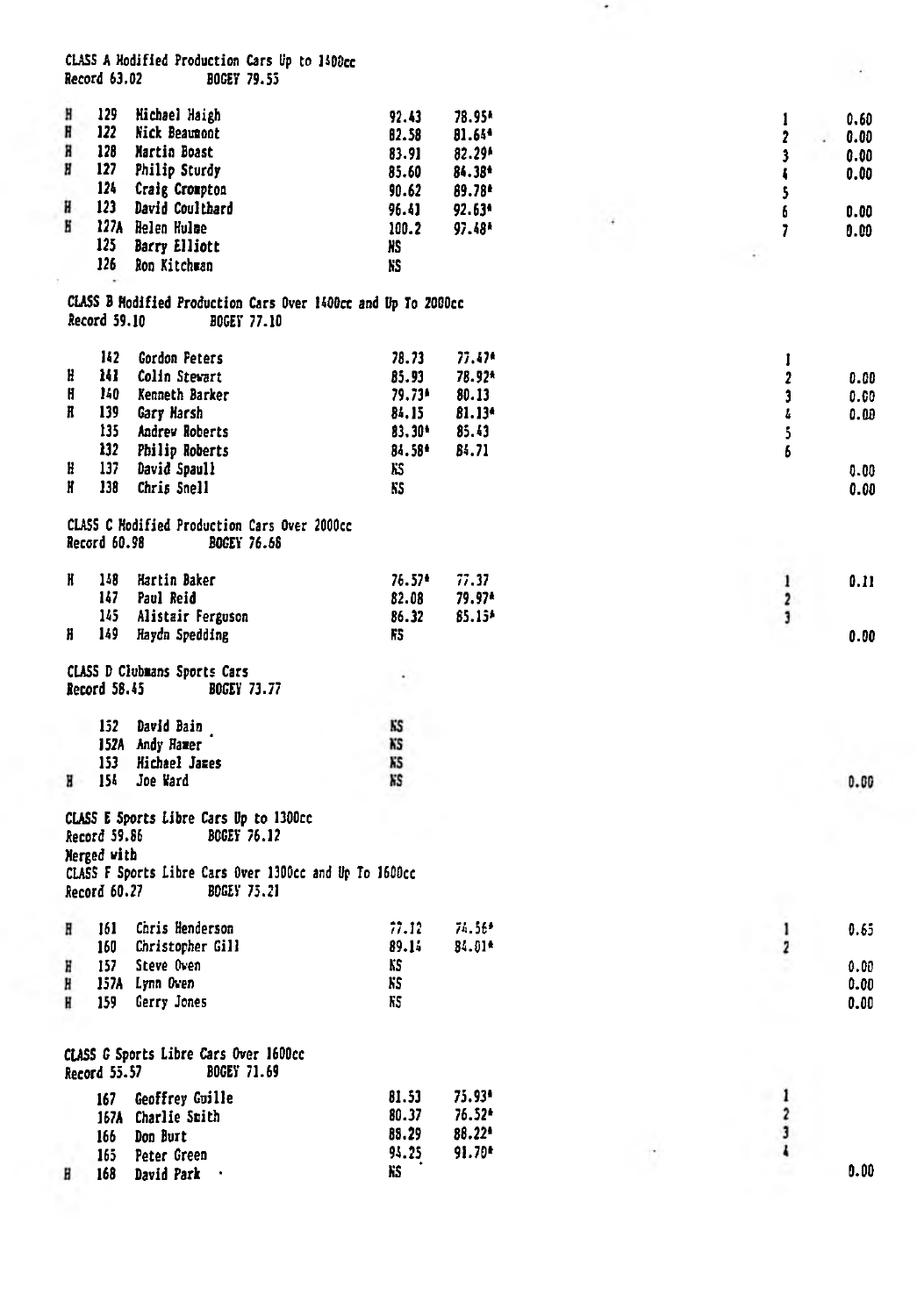CLASS A Modified Production Cars Up to 1400cc<br>Record 63.02 BOGEY 79.55

| H | 129                         | <b>Hichael Haigh</b>                                                         | 92.43     | 78.95*   | 1                       | 0.60      |
|---|-----------------------------|------------------------------------------------------------------------------|-----------|----------|-------------------------|-----------|
| H | 122                         | Nick Beaunont                                                                | 82.58     | $81.64*$ | $\overline{\mathbf{z}}$ | 0.00<br>ć |
| H | 128                         | Martin Boast                                                                 | 83.91     | 82.29*   | 3                       | 0.00      |
| Ħ | 127                         | Philip Sturdy                                                                | 85.60     | 84.38*   | ł.                      | 0.00      |
|   | 124                         | Craig Crompton                                                               | 90.62     | 89.78*   | \$                      |           |
| H | 123                         | David Coulthard                                                              | 96.41     | 92.63*   | 6                       | 0.00      |
| H |                             | 127A Helen Hulme                                                             | 100.2     | 97.48*   | 7                       | 0.00      |
|   | 125                         | <b>Barry Elliott</b>                                                         | XS.       |          |                         |           |
|   | 126                         | Ron Kitchman                                                                 | ¥\$       |          |                         |           |
|   |                             |                                                                              |           |          |                         |           |
|   | Record 59.10                | CLASS B Hodified Production Cars Over 1400cc and Up To 2000cc<br>BOGET 77.10 |           |          |                         |           |
|   | 142                         | Gordon Peters                                                                | 78.73     | $77.47*$ | I                       |           |
| H | ш                           | Colin Stewart                                                                | 85.93     | 78.92*   | $\overline{2}$          | 0.00      |
| H | 140                         | Kenneth Barker                                                               | 79.73*    | 80.13    | $\overline{\mathbf{3}}$ | 0.60      |
| H | 139                         | Gary Marsh                                                                   | 84.15     | 81.13*   | ł.                      | 0.00      |
|   | 135                         | Andrew Roberts                                                               | 83.30*    | 85.43    | 5                       |           |
|   | 132                         | Philip Roberts                                                               | 84.584    | 84.71    | 6                       |           |
| H | 137                         | David Spaull                                                                 | KS        |          |                         | 0.00      |
| Ħ | 138                         | Chris Snell                                                                  | KS.       |          |                         | 0.00      |
|   |                             |                                                                              |           |          |                         |           |
|   | Record 60.98                | CLASS C Modified Production Cars Over 2000cc<br><b>BOGEY 76.68</b>           |           |          |                         |           |
| H | 148                         | Hartin Baker                                                                 | $76.57*$  | 77.37    | $\mathbf{1}$            | 0.11      |
|   | 147                         | Paul Reid                                                                    | 82.08     | 79.97*   | $\overline{\mathbf{c}}$ |           |
|   | 145                         | Alistair Ferguson                                                            | 86.32     | \$5.15*  | 3                       |           |
| H | 149                         | Haydn Spedding                                                               | FS.       |          |                         | 0.00      |
|   |                             |                                                                              |           |          |                         |           |
|   |                             | CLASS D Clubmans Sports Cars                                                 |           |          |                         |           |
|   | Record 58.45                | <b>BOGEY 73.77</b>                                                           |           |          |                         |           |
|   |                             |                                                                              |           |          |                         |           |
|   | 152                         | David Bain<br>152A Andy Hamer                                                | KS<br>KS  |          |                         |           |
|   | 153                         | <b>Hichael Jazes</b>                                                         | KS        |          |                         |           |
|   |                             |                                                                              | <b>KS</b> |          |                         |           |
| н | 154                         | Joe Ward                                                                     |           |          |                         | 0.00      |
|   | Record 59.86<br>Nerged with | CLASS E Sports Libre Cars Up to 1300cc<br>BOGEY 76.12                        |           |          |                         |           |
|   | Record 60.27                | CLASS F Sports Libre Cars Over 1300cc and Up To 1600cc<br><b>BOGEY 75.21</b> |           |          |                         |           |
| Η | 161                         | Chris Henderson                                                              | 77.12     | 74.56*   | 1                       | 0.65      |
|   | 160                         | Christopher Gill                                                             | 89.14     | $84.01*$ | $\overline{\mathbf{z}}$ |           |
| H | 157                         | Steve Oven                                                                   | KS        |          |                         | 0.00      |
| H |                             | 157A Lynn Owen                                                               | XS.       |          |                         | 0.00      |
| H | 159                         | Gerry Jones                                                                  | KS.       |          |                         | 0.00      |
|   |                             |                                                                              |           |          |                         |           |
|   | Record 55.57                | CLASS G Sports Libre Cars Over 1600cc<br>BOGEY 71.69                         |           |          |                         |           |
|   | 167                         | Geoffrey Guille                                                              | 81.53     | 75.93*   | $\mathbf{1}$            |           |
|   |                             | 167A Charlie Smith                                                           | 80.37     | 76.52*   | $\overline{\mathbf{c}}$ |           |
|   | 166                         | Don Burt                                                                     | 88.29     | 88.22*   | 3                       |           |
|   | 165                         | Peter Green                                                                  | 94.25     | $91.70*$ | ł                       |           |
| H | 168                         | David Park                                                                   | ĥŜ        |          |                         | 0.00      |
|   |                             |                                                                              |           |          |                         |           |

 $\bullet$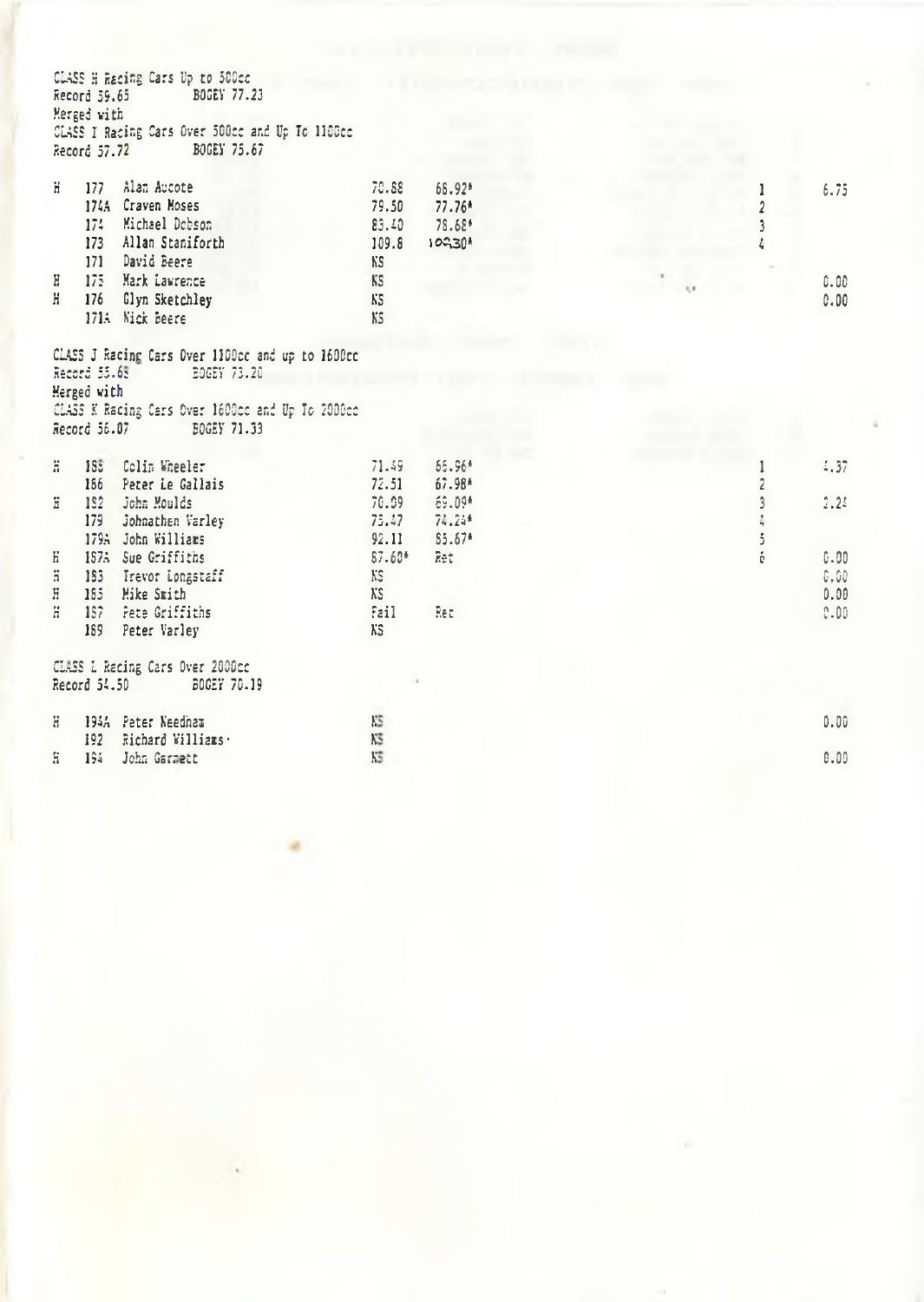|                  | CLASS H Racing Cars Up to 500cc<br>BOGEY 77.23<br>Record 59.65<br>Merged with<br>CLASS I Racing Cars Over 500cc and Up To 1100cc<br>Record 57.72 BOGEY 75.67                   |                                         |                                          |           |                      |
|------------------|--------------------------------------------------------------------------------------------------------------------------------------------------------------------------------|-----------------------------------------|------------------------------------------|-----------|----------------------|
| H.               | Alan Aucote<br>177<br>174A Craven Moses<br>174 Michael Dobson<br>173 Allan Staniforth<br>171 David Beere                                                                       | 70.88<br>79.50<br>83.40<br>109.8<br>KS. | 66.92*<br>$77.76*$<br>78.68*<br>$10230*$ | 3         | 6.75                 |
| Η<br>H           | 175 Mark Lawrence<br>176 Glyn Sketchley<br>171A Nick Beere                                                                                                                     | KS.<br>KS.<br>KS.                       |                                          |           | 0.00<br>0.00         |
|                  | CLASS J Racing Cars Over 1100cc and up to 1600cc<br>Record 55.65<br>BOGEY 73.20<br>Merged with<br>CLASS K Racing Cars Over 1600cc and Up To 2000cc<br>Record 56.07 BOGEY 71.33 |                                         |                                          |           |                      |
| ã                | 185 Colin Wheeler<br>186 Peter Le Gallais                                                                                                                                      | 71.49<br>72.51                          | 55.96*<br>$67.98*$                       | 2         | 1.37                 |
| Ħ                | 182 John Moulds<br>$179 -$<br>Johnathen Varley<br>179A John Williams                                                                                                           | 70.09<br>75.47<br>92.11                 | 69.09*<br>$74.24*$<br>$$5.67*$           | دی وزه ون | 2.25                 |
| Е<br>ă<br>Ë<br>Ħ | 187A Sue Griffiths<br>183 Trevor Longstaff<br>185 Mike Smith                                                                                                                   | $$7.60*$<br>YS.<br>KS.                  | Ret                                      |           | 0.00<br>0.00<br>0.00 |
|                  | 187 Pete Griffiths<br>Peter Varley<br>189                                                                                                                                      | fail<br>KS.                             | Rec                                      |           | 0.001                |
|                  | CLASS L Racing Cars Over 2000cc<br>Record 54.50<br>BOGEY 70.19                                                                                                                 |                                         |                                          |           |                      |
| Η                | 194A Peter Neednam<br>192<br>Richard Williams                                                                                                                                  | E3<br>K5                                |                                          |           | 0.00                 |
| Ξ                | 194<br>John Garmett                                                                                                                                                            | KS <sup>1</sup>                         |                                          |           | 0.00                 |